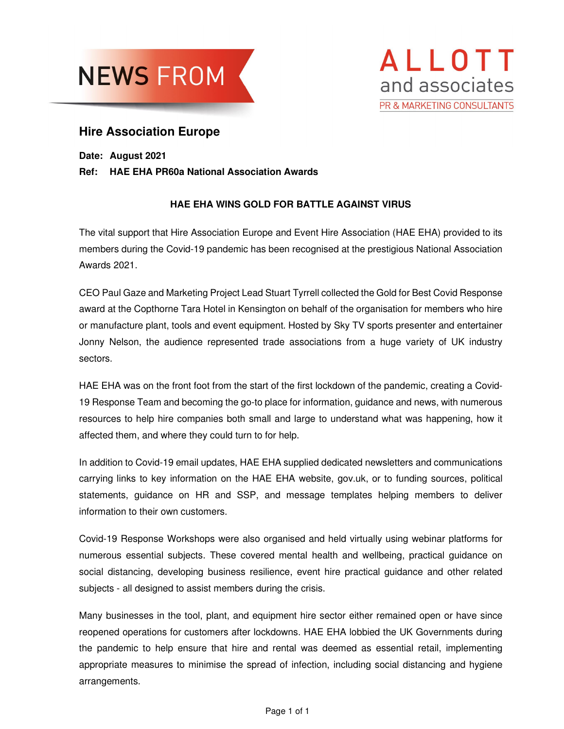



## **Hire Association Europe**

**Date: August 2021** 

## **Ref: HAE EHA PR60a National Association Awards**

## **HAE EHA WINS GOLD FOR BATTLE AGAINST VIRUS**

The vital support that Hire Association Europe and Event Hire Association (HAE EHA) provided to its members during the Covid-19 pandemic has been recognised at the prestigious National Association Awards 2021.

CEO Paul Gaze and Marketing Project Lead Stuart Tyrrell collected the Gold for Best Covid Response award at the Copthorne Tara Hotel in Kensington on behalf of the organisation for members who hire or manufacture plant, tools and event equipment. Hosted by Sky TV sports presenter and entertainer Jonny Nelson, the audience represented trade associations from a huge variety of UK industry sectors.

HAE EHA was on the front foot from the start of the first lockdown of the pandemic, creating a Covid-19 Response Team and becoming the go-to place for information, guidance and news, with numerous resources to help hire companies both small and large to understand what was happening, how it affected them, and where they could turn to for help.

In addition to Covid-19 email updates, HAE EHA supplied dedicated newsletters and communications carrying links to key information on the HAE EHA website, gov.uk, or to funding sources, political statements, guidance on HR and SSP, and message templates helping members to deliver information to their own customers.

Covid-19 Response Workshops were also organised and held virtually using webinar platforms for numerous essential subjects. These covered mental health and wellbeing, practical guidance on social distancing, developing business resilience, event hire practical guidance and other related subjects - all designed to assist members during the crisis.

Many businesses in the tool, plant, and equipment hire sector either remained open or have since reopened operations for customers after lockdowns. HAE EHA lobbied the UK Governments during the pandemic to help ensure that hire and rental was deemed as essential retail, implementing appropriate measures to minimise the spread of infection, including social distancing and hygiene arrangements.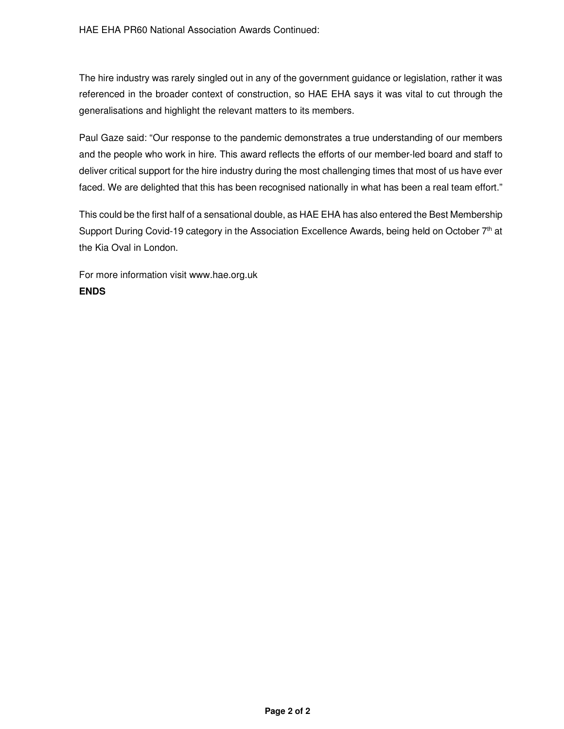The hire industry was rarely singled out in any of the government guidance or legislation, rather it was referenced in the broader context of construction, so HAE EHA says it was vital to cut through the generalisations and highlight the relevant matters to its members.

Paul Gaze said: "Our response to the pandemic demonstrates a true understanding of our members and the people who work in hire. This award reflects the efforts of our member-led board and staff to deliver critical support for the hire industry during the most challenging times that most of us have ever faced. We are delighted that this has been recognised nationally in what has been a real team effort."

This could be the first half of a sensational double, as HAE EHA has also entered the Best Membership Support During Covid-19 category in the Association Excellence Awards, being held on October 7th at the Kia Oval in London.

For more information visit www.hae.org.uk **ENDS**